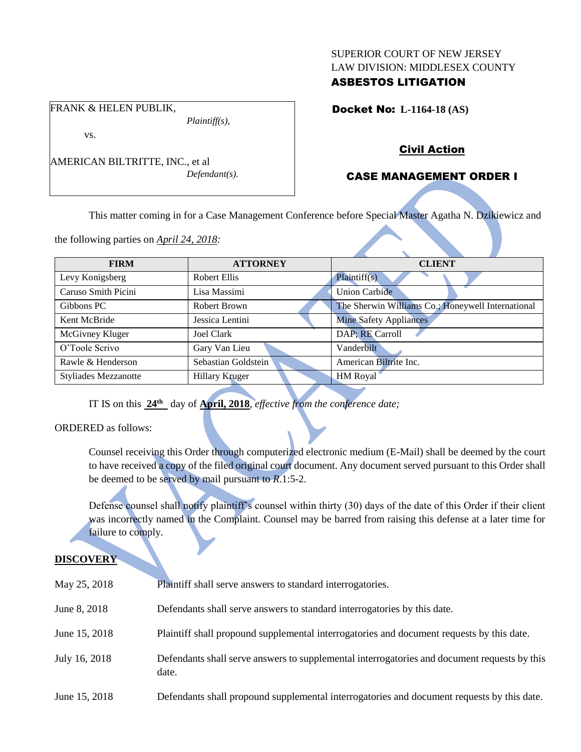#### SUPERIOR COURT OF NEW JERSEY LAW DIVISION: MIDDLESEX COUNTY

## ASBESTOS LITIGATION

Docket No: **L-1164-18 (AS)** 

Civil Action

## CASE MANAGEMENT ORDER I

This matter coming in for a Case Management Conference before Special Master Agatha N. Dzikiewicz and

the following parties on *April 24, 2018:*

AMERICAN BILTRITTE, INC., et al

FRANK & HELEN PUBLIK,

vs.

| <b>FIRM</b>                 | <b>ATTORNEY</b>       | <b>CLIENT</b>                                     |
|-----------------------------|-----------------------|---------------------------------------------------|
| Levy Konigsberg             | <b>Robert Ellis</b>   | Plaintiff(s)                                      |
| Caruso Smith Picini         | Lisa Massimi          | <b>Union Carbide</b>                              |
| Gibbons PC                  | Robert Brown          | The Sherwin Williams Co.; Honeywell International |
| Kent McBride                | Jessica Lentini       | <b>Mine Safety Appliances</b>                     |
| McGivney Kluger             | <b>Joel Clark</b>     | DAP; RE Carroll                                   |
| O'Toole Scrivo              | Gary Van Lieu         | Vanderbilt                                        |
| Rawle & Henderson           | Sebastian Goldstein   | American Biltrite Inc.                            |
| <b>Styliades Mezzanotte</b> | <b>Hillary Kruger</b> | HM Royal                                          |
|                             |                       |                                                   |

IT IS on this **24th** day of **April, 2018**, *effective from the conference date;*

*Plaintiff(s),*

*Defendant(s).*

ORDERED as follows:

Counsel receiving this Order through computerized electronic medium (E-Mail) shall be deemed by the court to have received a copy of the filed original court document. Any document served pursuant to this Order shall be deemed to be served by mail pursuant to *R*.1:5-2.

Defense counsel shall notify plaintiff's counsel within thirty (30) days of the date of this Order if their client was incorrectly named in the Complaint. Counsel may be barred from raising this defense at a later time for failure to comply.

# **DISCOVERY**

| May 25, 2018  | Plaintiff shall serve answers to standard interrogatories.                                            |
|---------------|-------------------------------------------------------------------------------------------------------|
| June 8, 2018  | Defendants shall serve answers to standard interrogatories by this date.                              |
| June 15, 2018 | Plaintiff shall propound supplemental interrogatories and document requests by this date.             |
| July 16, 2018 | Defendants shall serve answers to supplemental interrogatories and document requests by this<br>date. |
| June 15, 2018 | Defendants shall propound supplemental interrogatories and document requests by this date.            |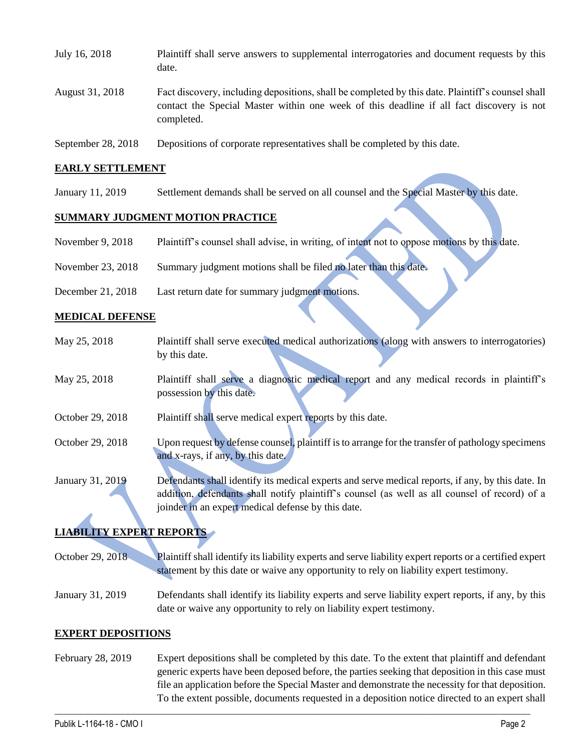| July 16, 2018      | Plaintiff shall serve answers to supplemental interrogatories and document requests by this<br>date.                                                                                                        |
|--------------------|-------------------------------------------------------------------------------------------------------------------------------------------------------------------------------------------------------------|
| August 31, 2018    | Fact discovery, including depositions, shall be completed by this date. Plaintiff's counsel shall<br>contact the Special Master within one week of this deadline if all fact discovery is not<br>completed. |
| September 28, 2018 | Depositions of corporate representatives shall be completed by this date.                                                                                                                                   |

#### **EARLY SETTLEMENT**

January 11, 2019 Settlement demands shall be served on all counsel and the Special Master by this date.

#### **SUMMARY JUDGMENT MOTION PRACTICE**

| November 9, 2018 | Plaintiff's counsel shall advise, in writing, of intent not to oppose motions by this date. |  |  |  |  |
|------------------|---------------------------------------------------------------------------------------------|--|--|--|--|
|------------------|---------------------------------------------------------------------------------------------|--|--|--|--|

- November 23, 2018 Summary judgment motions shall be filed no later than this date.
- December 21, 2018 Last return date for summary judgment motions.

#### **MEDICAL DEFENSE**

| May 25, 2018     | Plaintiff shall serve executed medical authorizations (along with answers to interrogatories)     |
|------------------|---------------------------------------------------------------------------------------------------|
|                  | by this date.                                                                                     |
| May 25, 2018     | Plaintiff shall serve a diagnostic medical report and any medical records in plaintiff's          |
|                  | possession by this date.                                                                          |
| October 29, 2018 | Plaintiff shall serve medical expert reports by this date.                                        |
| October 29, 2018 | Upon request by defense counsel, plaintiff is to arrange for the transfer of pathology specimens  |
|                  | and x-rays, if any, by this date.                                                                 |
| January 31, 2019 | Defendants shall identify its medical experts and serve medical reports, if any, by this date. In |
|                  | addition, defendants shall notify plaintiff's counsel (as well as all counsel of record) of a     |
|                  | joinder in an expert medical defense by this date.                                                |

### **LIABILITY EXPERT REPORTS**

October 29, 2018 Plaintiff shall identify its liability experts and serve liability expert reports or a certified expert statement by this date or waive any opportunity to rely on liability expert testimony.

January 31, 2019 Defendants shall identify its liability experts and serve liability expert reports, if any, by this date or waive any opportunity to rely on liability expert testimony.

#### **EXPERT DEPOSITIONS**

February 28, 2019 Expert depositions shall be completed by this date. To the extent that plaintiff and defendant generic experts have been deposed before, the parties seeking that deposition in this case must file an application before the Special Master and demonstrate the necessity for that deposition. To the extent possible, documents requested in a deposition notice directed to an expert shall

 $\_$  ,  $\_$  ,  $\_$  ,  $\_$  ,  $\_$  ,  $\_$  ,  $\_$  ,  $\_$  ,  $\_$  ,  $\_$  ,  $\_$  ,  $\_$  ,  $\_$  ,  $\_$  ,  $\_$  ,  $\_$  ,  $\_$  ,  $\_$  ,  $\_$  ,  $\_$  ,  $\_$  ,  $\_$  ,  $\_$  ,  $\_$  ,  $\_$  ,  $\_$  ,  $\_$  ,  $\_$  ,  $\_$  ,  $\_$  ,  $\_$  ,  $\_$  ,  $\_$  ,  $\_$  ,  $\_$  ,  $\_$  ,  $\_$  ,